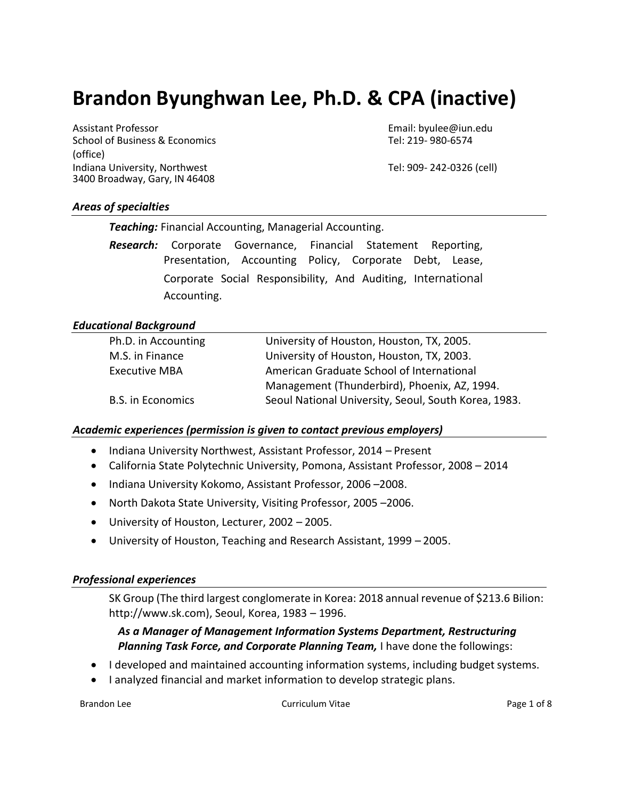# **Brandon Byunghwan Lee, Ph.D. & CPA (inactive)**

Assistant Professor Email: byulee@iun.edu School of Business & Economics Tel: 219-980-6574 (office) Indiana University, Northwest Tel: 909- 242-0326 (cell) 3400 Broadway, Gary, IN 46408

## *Areas of specialties*

*Teaching:* Financial Accounting, Managerial Accounting.

*Research:* Corporate Governance, Financial Statement Reporting, Presentation, Accounting Policy, Corporate Debt, Lease, Corporate Social Responsibility, And Auditing, International Accounting.

## *Educational Background*

## *Academic experiences (permission is given to contact previous employers)*

- Indiana University Northwest, Assistant Professor, 2014 Present
- California State Polytechnic University, Pomona, Assistant Professor, 2008 2014
- Indiana University Kokomo, Assistant Professor, 2006–2008.
- North Dakota State University, Visiting Professor, 2005 –2006.
- University of Houston, Lecturer, 2002 2005.
- University of Houston, Teaching and Research Assistant, 1999 2005.

## *Professional experiences*

SK Group (The third largest conglomerate in Korea: 2018 annual revenue of \$213.6 Bilion: http://www.sk.com), Seoul, Korea, 1983 – 1996.

## *As a Manager of Management Information Systems Department, Restructuring Planning Task Force, and Corporate Planning Team, I have done the followings:*

- I developed and maintained accounting information systems, including budget systems.
- I analyzed financial and market information to develop strategic plans.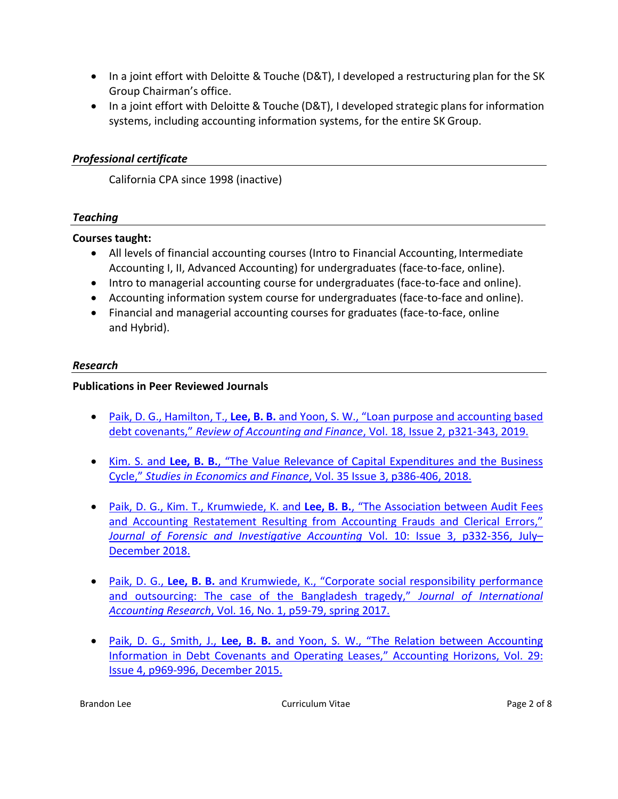- In a joint effort with Deloitte & Touche (D&T), I developed a restructuring plan for the SK Group Chairman's office.
- In a joint effort with Deloitte & Touche (D&T), I developed strategic plans for information systems, including accounting information systems, for the entire SK Group.

## *Professional certificate*

California CPA since 1998 (inactive)

## *Teaching*

#### **Courses taught:**

- All levels of financial accounting courses (Intro to Financial Accounting, Intermediate Accounting I, II, Advanced Accounting) for undergraduates (face-to-face, online).
- Intro to managerial accounting course for undergraduates (face-to-face and online).
- Accounting information system course for undergraduates (face-to-face and online).
- Financial and managerial accounting courses for graduates (face-to-face, online and Hybrid).

#### *Research*

## **Publications in Peer Reviewed Journals**

- Paik, D. G., Hamilton, T., Lee, B. B. and Yoon, S. W., "Loan purpose and accounting based debt covenants," *[Review of Accounting and Finance](https://apps.iu.edu/edo-prd/EdoDownloadFile.do?itemID=179935&nid=Research-Creative-Activity_1_7)*, Vol. 18, Issue 2, p321-343, 2019.
- Kim. S. and **Lee, B. B.**, "The [Value Relevance of Capital Expenditures and the Business](https://apps.iu.edu/edo-prd/EdoDownloadFile.do?itemID=179938&nid=Research-Creative-Activity_1_7)  Cycle," *Studies in Economics and Finance*[, Vol. 35 Issue 3, p386-406, 2018.](https://apps.iu.edu/edo-prd/EdoDownloadFile.do?itemID=179938&nid=Research-Creative-Activity_1_7)
- [Paik, D. G., Kim. T., Krumwiede, K. and](https://apps.iu.edu/edo-prd/EdoDownloadFile.do?itemID=179939&nid=Research-Creative-Activity_1_7) Lee, B. B., "The Association between Audit Fees and Accounting Restatement Resulting from Accounting Frauds and Clerical Errors," *[Journal of Forensic and Investigative Accounting](https://apps.iu.edu/edo-prd/EdoDownloadFile.do?itemID=179939&nid=Research-Creative-Activity_1_7)* Vol. 10: Issue 3, p332-356, July– [December 2018.](https://apps.iu.edu/edo-prd/EdoDownloadFile.do?itemID=179939&nid=Research-Creative-Activity_1_7)
- Paik, D. G., **Lee, B. B.** [and Krumwiede, K., "Corporate social responsibility performance](https://apps.iu.edu/edo-prd/EdoDownloadFile.do?itemID=179940&nid=Research-Creative-Activity_1_7)  [and outsourcing: The case of the Bangladesh tragedy,"](https://apps.iu.edu/edo-prd/EdoDownloadFile.do?itemID=179940&nid=Research-Creative-Activity_1_7) *Journal of International Accounting Research*[, Vol. 16, No. 1, p59-79, spring 2017.](https://apps.iu.edu/edo-prd/EdoDownloadFile.do?itemID=179940&nid=Research-Creative-Activity_1_7)
- Paik, D. G., Smith, J., Lee, B. B. and Yoon, S. W., "The Relation between Accounting [Information in Debt Covenants and Operating Leases," Accounti](https://apps.iu.edu/edo-prd/EdoDownloadFile.do?itemID=179941&nid=Research-Creative-Activity_1_7)ng Horizons, Vol. 29: [Issue 4, p969-996, December 2015.](https://apps.iu.edu/edo-prd/EdoDownloadFile.do?itemID=179941&nid=Research-Creative-Activity_1_7)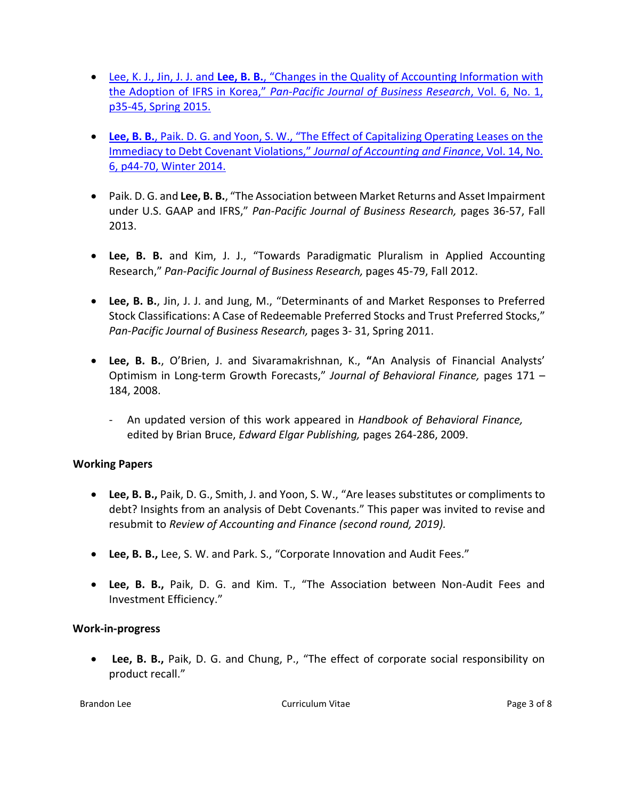- Lee, K. J., Jin, J. J. and **Lee, B. B.**[, "Changes in the Quality of Accounting Informatio](https://apps.iu.edu/edo-prd/EdoDownloadFile.do?itemID=179942&nid=Research-Creative-Activity_1_7)n with the Adoption of IFRS in Korea," *[Pan-Pacific Journal of Business Research](https://apps.iu.edu/edo-prd/EdoDownloadFile.do?itemID=179942&nid=Research-Creative-Activity_1_7)*, Vol. 6, No. 1, [p35-45, Spring 2015.](https://apps.iu.edu/edo-prd/EdoDownloadFile.do?itemID=179942&nid=Research-Creative-Activity_1_7)
- **Lee, B. B.**, Paik. D. G. an[d Yoon, S. W., "The Effect of Capitalizing Operating Leases on the](https://apps.iu.edu/edo-prd/EdoDownloadFile.do?itemID=179944&nid=Research-Creative-Activity_1_7)  [Immediacy to Debt Covenant Violations,"](https://apps.iu.edu/edo-prd/EdoDownloadFile.do?itemID=179944&nid=Research-Creative-Activity_1_7) *Journal of Accounting and Finance*, Vol. 14, No. [6, p44-70, Winter 2014.](https://apps.iu.edu/edo-prd/EdoDownloadFile.do?itemID=179944&nid=Research-Creative-Activity_1_7)
- Paik. D. G. and **Lee, B. B.**, "The Association between Market Returns and Asset Impairment under U.S. GAAP and IFRS," *Pan-Pacific Journal of Business Research,* pages 36-57, Fall 2013.
- **Lee, B. B.** and Kim, J. J., "Towards Paradigmatic Pluralism in Applied Accounting Research," *Pan-Pacific Journal of Business Research,* pages 45-79, Fall 2012.
- **Lee, B. B.**, Jin, J. J. and Jung, M., "Determinants of and Market Responses to Preferred Stock Classifications: A Case of Redeemable Preferred Stocks and Trust Preferred Stocks," *Pan-Pacific Journal of Business Research,* pages 3- 31, Spring 2011.
- **Lee, B. B.**, O'Brien, J. and Sivaramakrishnan, K., **"**An Analysis of Financial Analysts' Optimism in Long-term Growth Forecasts," *Journal of Behavioral Finance,* pages 171 – 184, 2008.
	- An updated version of this work appeared in *Handbook of Behavioral Finance,* edited by Brian Bruce, *Edward Elgar Publishing,* pages 264-286, 2009.

# **Working Papers**

- **Lee, B. B.,** Paik, D. G., Smith, J. and Yoon, S. W., "Are leases substitutes or compliments to debt? Insights from an analysis of Debt Covenants." This paper was invited to revise and resubmit to *Review of Accounting and Finance (second round, 2019).*
- **Lee, B. B.,** Lee, S. W. and Park. S., "Corporate Innovation and Audit Fees."
- **Lee, B. B.,** Paik, D. G. and Kim. T., "The Association between Non-Audit Fees and Investment Efficiency."

# **Work-in-progress**

 **Lee, B. B.,** Paik, D. G. and Chung, P., "The effect of corporate social responsibility on product recall."

Brandon Lee **Curriculum Vitae Curriculum Vitae Page 3 of 8** and  $\overline{P}$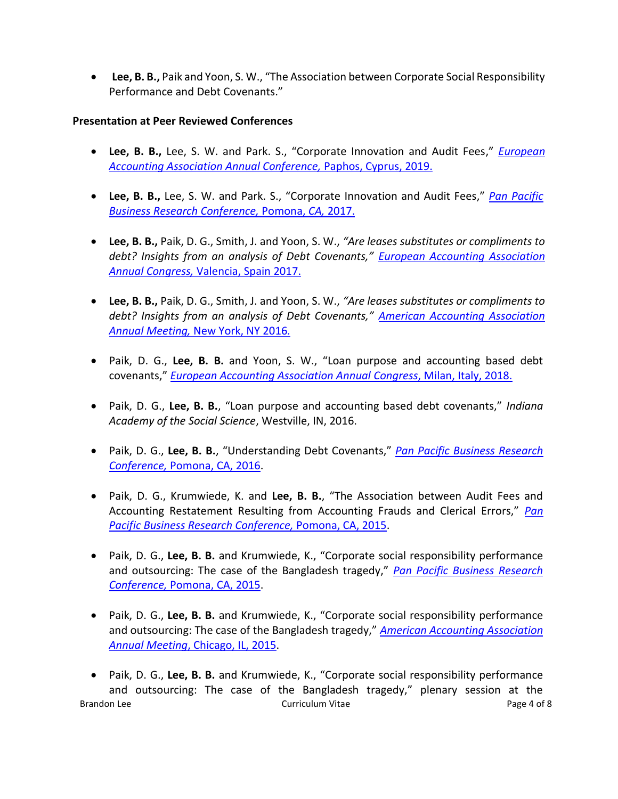**Lee, B. B.,** Paik and Yoon, S. W., "The Association between Corporate Social Responsibility Performance and Debt Covenants."

#### **Presentation at Peer Reviewed Conferences**

- **Lee, B. B.,** Lee, S. W. and Park. S., "Corporate Innovation and Audit Fees," *[European](http://www.eaa-online.org/r/Annual_Congresses)  [Accounting Association Annual Conference,](http://www.eaa-online.org/r/Annual_Congresses)* Paphos, Cyprus, 2019.
- **Lee, B. B.,** Lee, S. W. and Park. S., "Corporate Innovation and Audit Fees," *[Pan Pacific](http://ppbri.org/conference-2017)  [Business Research Conference,](http://ppbri.org/conference-2017)* Pomona, *CA,* 2017.
- **Lee, B. B.,** Paik, D. G., Smith, J. and Yoon, S. W., *"Are leases substitutes or compliments to debt? Insights from an analysis of Debt Covenants," [European Accounting Association](http://www.eaa-online.org/r/Annual_Congresses)  Annual Congress,* [Valencia, Spain 2017.](http://www.eaa-online.org/r/Annual_Congresses)
- **Lee, B. B.,** Paik, D. G., Smith, J. and Yoon, S. W., *"Are leases substitutes or compliments to debt? Insights from an analysis of Debt Covenants," [American Accounting Association](http://aaahq.org/Meetings/2016/Annual-Meeting)  Annual Meeting,* [New York, NY 2016](http://aaahq.org/Meetings/2016/Annual-Meeting)*.*
- Paik, D. G., **Lee, B. B.** and Yoon, S. W., "Loan purpose and accounting based debt covenants," *[European Accounting Association Annual Congress](http://eaa2018.eaacongress.org/r/home)*, Milan, Italy, 2018.
- Paik, D. G., **Lee, B. B.**, "Loan purpose and accounting based debt covenants," *Indiana Academy of the Social Science*, Westville, IN, 2016.
- Paik, D. G., **Lee, B. B.**, "Understanding Debt Covenants," *[Pan Pacific Business Research](http://ppbri.org/conference-2016)  Conference,* [Pomona, CA,](http://ppbri.org/conference-2016) 2016.
- Paik, D. G., Krumwiede, K. and **Lee, B. B.**, "The Association between Audit Fees and Accounting Restatement Resulting from Accounting Frauds and Clerical Errors," *[Pan](http://ppbri.org/conference-2015)  [Pacific Business Research Conference,](http://ppbri.org/conference-2015)* Pomona, CA, 2015.
- Paik, D. G., **Lee, B. B.** and Krumwiede, K., "Corporate social responsibility performance and outsourcing: The case of the Bangladesh tragedy," *[Pan Pacific Business Research](http://ppbri.org/conference-2015)  Conference,* [Pomona, CA,](http://ppbri.org/conference-2015) 2015.
- Paik, D. G., **Lee, B. B.** and Krumwiede, K., "Corporate social responsibility performance and outsourcing: The case of the Bangladesh tragedy," *[American Accounting Association](http://aaahq.org/Meetings/2015/Annual-Meeting/Program)  [Annual Meeting](http://aaahq.org/Meetings/2015/Annual-Meeting/Program)*, Chicago, IL, 2015.
- Brandon Lee **Curriculum Vitae Curriculum Vitae Page 4 of 8** and  $\overline{P}$  Paik, D. G., **Lee, B. B.** and Krumwiede, K., "Corporate social responsibility performance and outsourcing: The case of the Bangladesh tragedy," plenary session at the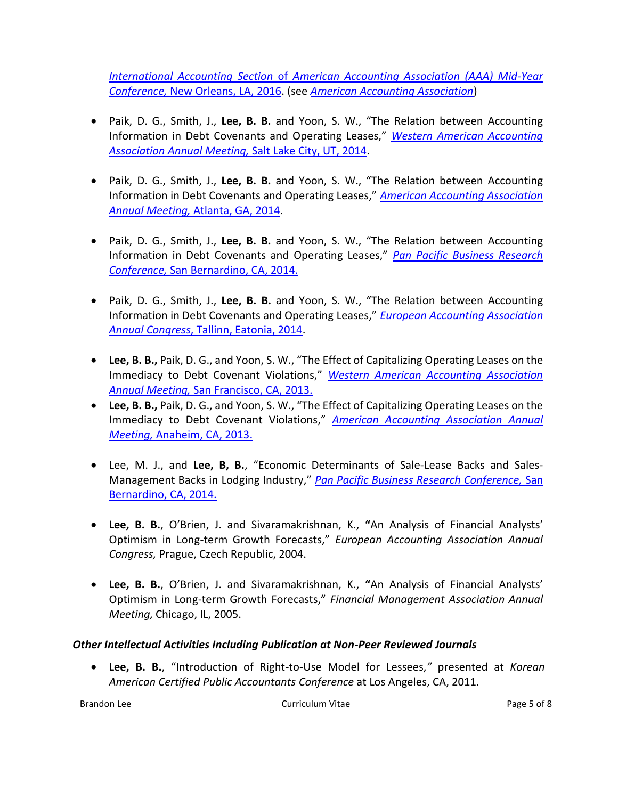*International Accounting Section* of *[American Accounting Association](http://aaahq.org/Meetings/2016/International-Accounting-Section) (AAA) Mid-Year Conference,* [New Orleans, LA,](http://aaahq.org/Meetings/2016/International-Accounting-Section) 2016. (see *[American Accounting Association](http://aaahq.org/Meetings/Archive)*)

- Paik, D. G., Smith, J., Lee, B. B. and Yoon, S. W., "The Relation between Accounting Information in Debt Covenants and Operating Leases," *[Western American Accounting](http://www2.aaahq.org/western/meetings/2014/registration.cfm)  Association Annual Meeting,* [Salt Lake City, UT,](http://www2.aaahq.org/western/meetings/2014/registration.cfm) 2014.
- Paik, D. G., Smith, J., **Lee, B. B.** and Yoon, S. W., "The Relation between Accounting Information in Debt Covenants and Operating Leases," *[American Accounting Association](http://www2.aaahq.org/AM2014/index.cfm) [Annual Meeting,](http://www2.aaahq.org/AM2014/index.cfm)* Atlanta, GA, 2014.
- Paik, D. G., Smith, J., **Lee, B. B.** and Yoon, S. W., "The Relation between Accounting Information in Debt Covenants and Operating Leases," *[Pan Pacific Business Research](http://ppbri.org/conference-2014)  Conference,* [San Bernardino, CA,](http://ppbri.org/conference-2014) 2014.
- Paik, D. G., Smith, J., **Lee, B. B.** and Yoon, S. W., "The Relation between Accounting Information in Debt Covenants and Operating Leases," *[European Accounting Association](http://www.eaa2014.org/r/home)  [Annual Congress](http://www.eaa2014.org/r/home)*, Tallinn, Eatonia, 2014.
- **Lee, B. B.,** Paik, D. G., and Yoon, S. W., "The Effect of Capitalizing Operating Leases on the Immediacy to Debt Covenant Violations," *[Western American Accounting Association](http://www2.aaahq.org/western/meetings/2013/registration.cfm)  Annual Meeting,* [San Francisco, CA,](http://www2.aaahq.org/western/meetings/2013/registration.cfm) 2013.
- **Lee, B. B.,** Paik, D. G., and Yoon, S. W., "The Effect of Capitalizing Operating Leases on the Immediacy to Debt Covenant Violations," *[American Accounting Association](http://www2.aaahq.org/AM2013/index.cfm) Annual Meeting,* [Anaheim, CA,](http://www2.aaahq.org/AM2013/index.cfm) 2013.
- Lee, M. J., and **Lee, B, B.**, "Economic Determinants of Sale-Lease Backs and Sales-Management Backs in Lodging Industry," *[Pan Pacific Business Research Conference,](http://ppbri.org/conference-2014)* San [Bernardino, CA,](http://ppbri.org/conference-2014) 2014.
- **Lee, B. B.**, O'Brien, J. and Sivaramakrishnan, K., **"**An Analysis of Financial Analysts' Optimism in Long-term Growth Forecasts," *European Accounting Association Annual Congress,* Prague, Czech Republic, 2004.
- **Lee, B. B.**, O'Brien, J. and Sivaramakrishnan, K., **"**An Analysis of Financial Analysts' Optimism in Long-term Growth Forecasts," *Financial Management Association Annual Meeting,* Chicago, IL, 2005.

# *Other Intellectual Activities Including Publication at Non-Peer Reviewed Journals*

 **Lee, B. B.**, "Introduction of Right-to-Use Model for Lessees,*"* presented at *Korean American Certified Public Accountants Conference* at Los Angeles, CA, 2011.

Brandon Lee **Curriculum Vitae Curriculum Vitae Page 5 of 8** and  $\overline{P}$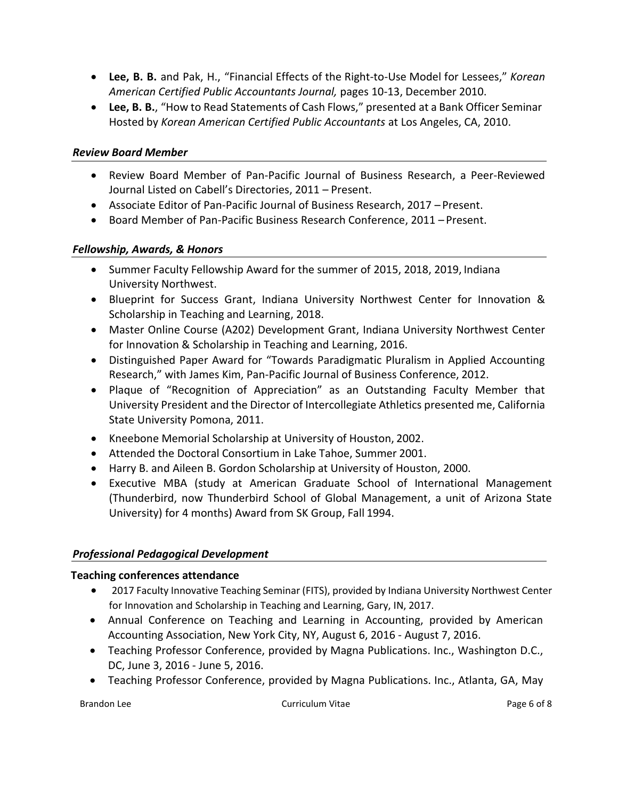- **Lee, B. B.** and Pak, H., "Financial Effects of the Right-to-Use Model for Lessees," *Korean American Certified Public Accountants Journal,* pages 10-13, December 2010.
- **Lee, B. B.**, "How to Read Statements of Cash Flows," presented at a Bank Officer Seminar Hosted by *Korean American Certified Public Accountants* at Los Angeles, CA, 2010.

# *Review Board Member*

- Review Board Member of Pan-Pacific Journal of Business Research, a Peer-Reviewed Journal Listed on Cabell's Directories, 2011 – Present.
- Associate Editor of Pan-Pacific Journal of Business Research, 2017 Present.
- Board Member of Pan-Pacific Business Research Conference, 2011 Present.

# *Fellowship, Awards, & Honors*

- Summer Faculty Fellowship Award for the summer of 2015, 2018, 2019, Indiana University Northwest.
- Blueprint for Success Grant, Indiana University Northwest Center for Innovation & Scholarship in Teaching and Learning, 2018.
- Master Online Course (A202) Development Grant, Indiana University Northwest Center for Innovation & Scholarship in Teaching and Learning, 2016.
- Distinguished Paper Award for "Towards Paradigmatic Pluralism in Applied Accounting Research," with James Kim, Pan-Pacific Journal of Business Conference, 2012.
- Plaque of "Recognition of Appreciation" as an Outstanding Faculty Member that University President and the Director of Intercollegiate Athletics presented me, California State University Pomona, 2011.
- Kneebone Memorial Scholarship at University of Houston, 2002.
- Attended the Doctoral Consortium in Lake Tahoe, Summer 2001.
- Harry B. and Aileen B. Gordon Scholarship at University of Houston, 2000.
- Executive MBA (study at American Graduate School of International Management (Thunderbird, now Thunderbird School of Global Management, a unit of Arizona State University) for 4 months) Award from SK Group, Fall 1994.

# *Professional Pedagogical Development*

## **Teaching conferences attendance**

- 2017 Faculty Innovative Teaching Seminar (FITS), provided by Indiana University Northwest Center for Innovation and Scholarship in Teaching and Learning, Gary, IN, 2017.
- Annual Conference on Teaching and Learning in Accounting, provided by American Accounting Association, New York City, NY, August 6, 2016 - August 7, 2016.
- Teaching Professor Conference, provided by Magna Publications. Inc., Washington D.C., DC, June 3, 2016 - June 5, 2016.
- Teaching Professor Conference, provided by Magna Publications. Inc., Atlanta, GA, May

Brandon Lee **Curriculum Vitae Curriculum Vitae Page 6 of 8**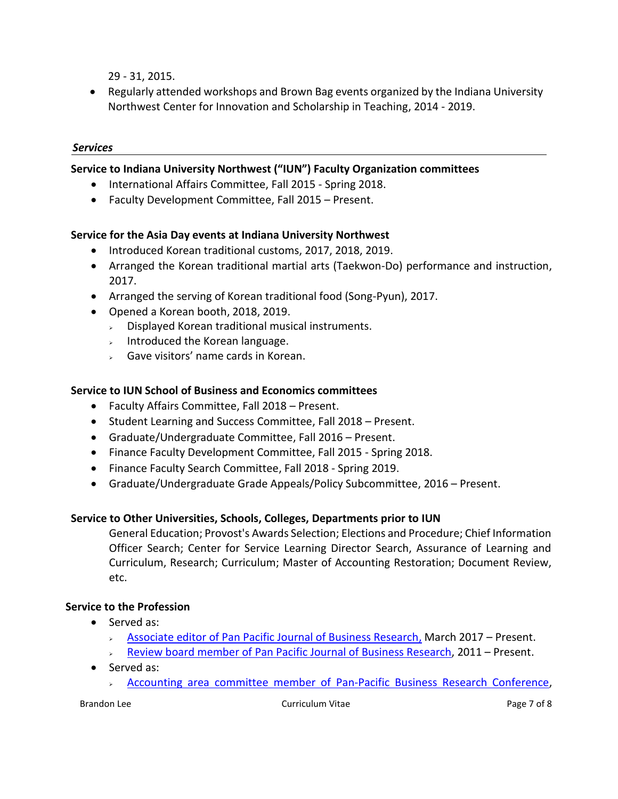29 - 31, 2015.

 Regularly attended workshops and Brown Bag events organized by the Indiana University Northwest Center for Innovation and Scholarship in Teaching, 2014 - 2019.

## *Services*

## **Service to Indiana University Northwest ("IUN") Faculty Organization committees**

- International Affairs Committee, Fall 2015 Spring 2018.
- Faculty Development Committee, Fall 2015 Present.

## **Service for the Asia Day events at Indiana University Northwest**

- Introduced Korean traditional customs, 2017, 2018, 2019.
- Arranged the Korean traditional martial arts (Taekwon-Do) performance and instruction, 2017.
- Arranged the serving of Korean traditional food (Song-Pyun), 2017.
- Opened a Korean booth, 2018, 2019.
	- $\triangleright$  Displayed Korean traditional musical instruments.
	- $\Box$  Introduced the Korean language.
	- $\overline{\phantom{a}}$  Gave visitors' name cards in Korean.

## **Service to IUN School of Business and Economics committees**

- Faculty Affairs Committee, Fall 2018 Present.
- Student Learning and Success Committee, Fall 2018 Present.
- Graduate/Undergraduate Committee, Fall 2016 Present.
- Finance Faculty Development Committee, Fall 2015 Spring 2018.
- Finance Faculty Search Committee, Fall 2018 Spring 2019.
- Graduate/Undergraduate Grade Appeals/Policy Subcommittee, 2016 Present.

## **Service to Other Universities, Schools, Colleges, Departments prior to IUN**

General Education; Provost's Awards Selection; Elections and Procedure; Chief Information Officer Search; Center for Service Learning Director Search, Assurance of Learning and Curriculum, Research; Curriculum; Master of Accounting Restoration; Document Review, etc.

# **Service to the Profession**

- Served as:
	- $\rightarrow$  [Associate editor of Pan Pacific Journal of Business Research,](http://ppbri.org/journal/editorial-review-board) March 2017 Present.
	- Review board member [of Pan Pacific Journal of Business Research,](http://ppbri.org/journal/publications/year-2010) 2011 Present.
- Served as:
	- Accounting area committee [member of Pan-Pacific Business Research Conference,](http://ppbri.org/conferences/conference-2014)